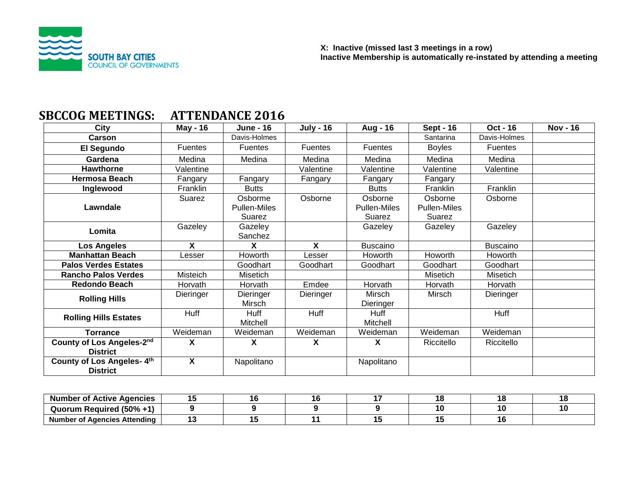

# **SBCCOG MEETINGS: ATTENDANCE 2016**

| City                                          | May - $16$     | <b>June - 16</b>                         | <b>July - 16</b> | Aug - 16                                 | <b>Sept - 16</b>                  | <b>Oct - 16</b> | <b>Nov - 16</b> |
|-----------------------------------------------|----------------|------------------------------------------|------------------|------------------------------------------|-----------------------------------|-----------------|-----------------|
| <b>Carson</b>                                 |                | Davis-Holmes                             |                  |                                          | Santarina                         | Davis-Holmes    |                 |
| El Segundo                                    | <b>Fuentes</b> | <b>Fuentes</b>                           | Fuentes          | Fuentes                                  | <b>Boyles</b>                     | <b>Fuentes</b>  |                 |
| Gardena                                       | Medina         | Medina                                   | Medina           | Medina                                   | Medina                            | Medina          |                 |
| <b>Hawthorne</b>                              | Valentine      |                                          | Valentine        | Valentine                                | Valentine                         | Valentine       |                 |
| <b>Hermosa Beach</b>                          | Fangary        | Fangary                                  | Fangary          | Fangary                                  | Fangary                           |                 |                 |
| Inglewood                                     | Franklin       | <b>Butts</b>                             |                  | <b>Butts</b>                             | Franklin                          | Franklin        |                 |
| Lawndale                                      | Suarez         | Osborme<br><b>Pullen-Miles</b><br>Suarez | Osborne          | Osborne<br><b>Pullen-Miles</b><br>Suarez | Osborne<br>Pullen-Miles<br>Suarez | Osborne         |                 |
| Lomita                                        | Gazeley        | Gazeley<br>Sanchez                       |                  | Gazeley                                  | Gazeley                           | Gazeley         |                 |
| <b>Los Angeles</b>                            | X              | X                                        | X                | <b>Buscaino</b>                          |                                   | <b>Buscaino</b> |                 |
| <b>Manhattan Beach</b>                        | Lesser         | Howorth                                  | Lesser           | Howorth                                  | Howorth                           | Howorth         |                 |
| <b>Palos Verdes Estates</b>                   |                | Goodhart                                 | Goodhart         | Goodhart                                 | Goodhart                          | Goodhart        |                 |
| <b>Rancho Palos Verdes</b>                    | Misteich       | Misetich                                 |                  |                                          | <b>Misetich</b>                   | Misetich        |                 |
| <b>Redondo Beach</b>                          | Horvath        | Horvath                                  | Emdee            | Horvath                                  | Horvath                           | Horvath         |                 |
| <b>Rolling Hills</b>                          | Dieringer      | Dieringer<br>Mirsch                      | Dieringer        | Mirsch<br>Dieringer                      | Mirsch                            | Dieringer       |                 |
| <b>Rolling Hills Estates</b>                  | Huff           | <b>Huff</b><br>Mitchell                  | Huff             | Huff<br>Mitchell                         |                                   | Huff            |                 |
| <b>Torrance</b>                               | Weideman       | Weideman                                 | Weideman         | Weideman                                 | Weideman                          | Weideman        |                 |
| County of Los Angeles-2nd<br><b>District</b>  | X              | X                                        | X                | X                                        | Riccitello                        | Riccitello      |                 |
| County of Los Angeles- 4th<br><b>District</b> | X              | Napolitano                               |                  | Napolitano                               |                                   |                 |                 |

| <b>Number of Active Agencies</b>  |  |  |  |    |
|-----------------------------------|--|--|--|----|
| Required (50% +1)<br>Quorum       |  |  |  | 10 |
| Number of<br>í Agencies Attending |  |  |  |    |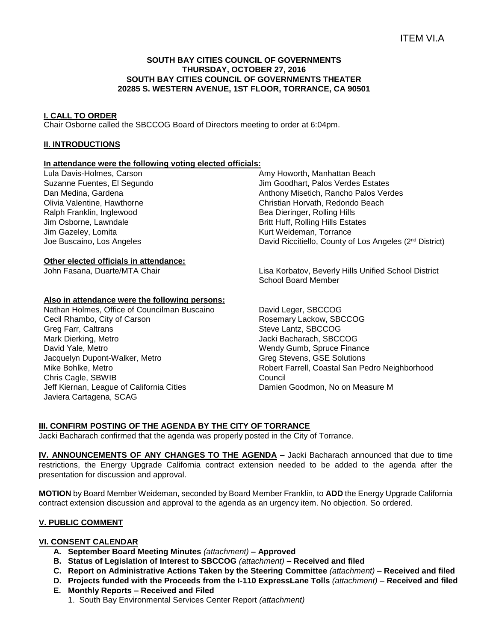## **SOUTH BAY CITIES COUNCIL OF GOVERNMENTS THURSDAY, OCTOBER 27, 2016 SOUTH BAY CITIES COUNCIL OF GOVERNMENTS THEATER 20285 S. WESTERN AVENUE, 1ST FLOOR, TORRANCE, CA 90501**

# **I. CALL TO ORDER**

Chair Osborne called the SBCCOG Board of Directors meeting to order at 6:04pm.

# **II. INTRODUCTIONS**

# **In attendance were the following voting elected officials:**

Lula Davis-Holmes, Carson Suzanne Fuentes, El Segundo Dan Medina, Gardena Olivia Valentine, Hawthorne Ralph Franklin, Inglewood Jim Osborne, Lawndale Jim Gazeley, Lomita Joe Buscaino, Los Angeles

## **Other elected officials in attendance:**

## **Also in attendance were the following persons:**

Nathan Holmes, Office of Councilman Buscaino Cecil Rhambo, City of Carson Greg Farr, Caltrans Mark Dierking, Metro David Yale, Metro Jacquelyn Dupont-Walker, Metro Mike Bohlke, Metro Chris Cagle, SBWIB Jeff Kiernan, League of California Cities Javiera Cartagena, SCAG

Amy Howorth, Manhattan Beach Jim Goodhart, Palos Verdes Estates Anthony Misetich, Rancho Palos Verdes Christian Horvath, Redondo Beach Bea Dieringer, Rolling Hills Britt Huff, Rolling Hills Estates Kurt Weideman, Torrance David Riccitiello, County of Los Angeles (2nd District)

John Fasana, Duarte/MTA Chair Lisa Korbatov, Beverly Hills Unified School District School Board Member

> David Leger, SBCCOG Rosemary Lackow, SBCCOG Steve Lantz, SBCCOG Jacki Bacharach, SBCCOG Wendy Gumb, Spruce Finance Greg Stevens, GSE Solutions Robert Farrell, Coastal San Pedro Neighborhood Council Damien Goodmon, No on Measure M

# **III. CONFIRM POSTING OF THE AGENDA BY THE CITY OF TORRANCE**

Jacki Bacharach confirmed that the agenda was properly posted in the City of Torrance.

**IV. ANNOUNCEMENTS OF ANY CHANGES TO THE AGENDA –** Jacki Bacharach announced that due to time restrictions, the Energy Upgrade California contract extension needed to be added to the agenda after the presentation for discussion and approval.

**MOTION** by Board Member Weideman, seconded by Board Member Franklin, to **ADD** the Energy Upgrade California contract extension discussion and approval to the agenda as an urgency item. No objection. So ordered.

## **V. PUBLIC COMMENT**

## **VI. CONSENT CALENDAR**

- **A. September Board Meeting Minutes** *(attachment) –* **Approved**
- **B. Status of Legislation of Interest to SBCCOG** *(attachment)* **– Received and filed**
- **C. Report on Administrative Actions Taken by the Steering Committee** *(attachment)*  **Received and filed**
- **D. Projects funded with the Proceeds from the I-110 ExpressLane Tolls** *(attachment)* **Received and filed**
- **E. Monthly Reports – Received and Filed**
	- 1.South Bay Environmental Services Center Report *(attachment)*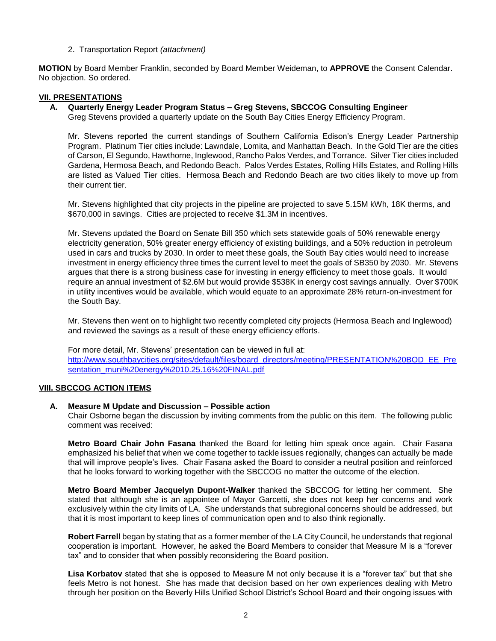# 2. Transportation Report *(attachment)*

**MOTION** by Board Member Franklin, seconded by Board Member Weideman, to **APPROVE** the Consent Calendar. No objection. So ordered.

## **VII. PRESENTATIONS**

### **A. Quarterly Energy Leader Program Status – Greg Stevens, SBCCOG Consulting Engineer**

Greg Stevens provided a quarterly update on the South Bay Cities Energy Efficiency Program.

Mr. Stevens reported the current standings of Southern California Edison's Energy Leader Partnership Program. Platinum Tier cities include: Lawndale, Lomita, and Manhattan Beach. In the Gold Tier are the cities of Carson, El Segundo, Hawthorne, Inglewood, Rancho Palos Verdes, and Torrance. Silver Tier cities included Gardena, Hermosa Beach, and Redondo Beach. Palos Verdes Estates, Rolling Hills Estates, and Rolling Hills are listed as Valued Tier cities. Hermosa Beach and Redondo Beach are two cities likely to move up from their current tier.

Mr. Stevens highlighted that city projects in the pipeline are projected to save 5.15M kWh, 18K therms, and \$670,000 in savings. Cities are projected to receive \$1.3M in incentives.

Mr. Stevens updated the Board on Senate Bill 350 which sets statewide goals of 50% renewable energy electricity generation, 50% greater energy efficiency of existing buildings, and a 50% reduction in petroleum used in cars and trucks by 2030. In order to meet these goals, the South Bay cities would need to increase investment in energy efficiency three times the current level to meet the goals of SB350 by 2030. Mr. Stevens argues that there is a strong business case for investing in energy efficiency to meet those goals. It would require an annual investment of \$2.6M but would provide \$538K in energy cost savings annually. Over \$700K in utility incentives would be available, which would equate to an approximate 28% return-on-investment for the South Bay.

Mr. Stevens then went on to highlight two recently completed city projects (Hermosa Beach and Inglewood) and reviewed the savings as a result of these energy efficiency efforts.

For more detail, Mr. Stevens' presentation can be viewed in full at: [http://www.southbaycities.org/sites/default/files/board\\_directors/meeting/PRESENTATION%20BOD\\_EE\\_Pre](http://www.southbaycities.org/sites/default/files/board_directors/meeting/PRESENTATION%20BOD_EE_Presentation_muni%20energy%2010.25.16%20FINAL.pdf) [sentation\\_muni%20energy%2010.25.16%20FINAL.pdf](http://www.southbaycities.org/sites/default/files/board_directors/meeting/PRESENTATION%20BOD_EE_Presentation_muni%20energy%2010.25.16%20FINAL.pdf)

## **VIII. SBCCOG ACTION ITEMS**

# **A. Measure M Update and Discussion – Possible action**

Chair Osborne began the discussion by inviting comments from the public on this item. The following public comment was received:

**Metro Board Chair John Fasana** thanked the Board for letting him speak once again. Chair Fasana emphasized his belief that when we come together to tackle issues regionally, changes can actually be made that will improve people's lives. Chair Fasana asked the Board to consider a neutral position and reinforced that he looks forward to working together with the SBCCOG no matter the outcome of the election.

**Metro Board Member Jacquelyn Dupont-Walker** thanked the SBCCOG for letting her comment. She stated that although she is an appointee of Mayor Garcetti, she does not keep her concerns and work exclusively within the city limits of LA. She understands that subregional concerns should be addressed, but that it is most important to keep lines of communication open and to also think regionally.

**Robert Farrell** began by stating that as a former member of the LA City Council, he understands that regional cooperation is important. However, he asked the Board Members to consider that Measure M is a "forever tax" and to consider that when possibly reconsidering the Board position.

**Lisa Korbatov** stated that she is opposed to Measure M not only because it is a "forever tax" but that she feels Metro is not honest. She has made that decision based on her own experiences dealing with Metro through her position on the Beverly Hills Unified School District's School Board and their ongoing issues with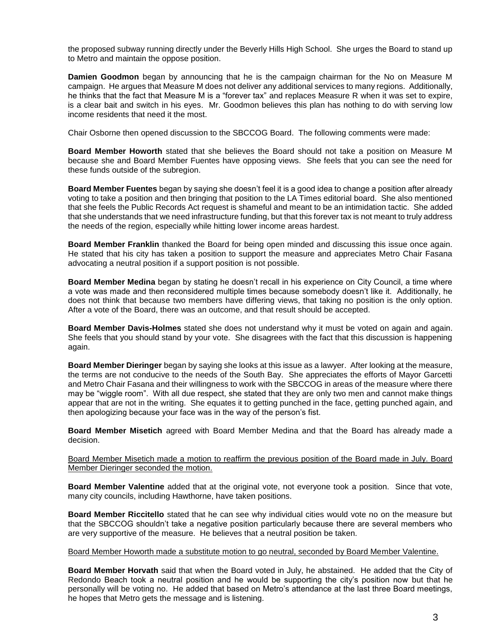the proposed subway running directly under the Beverly Hills High School. She urges the Board to stand up to Metro and maintain the oppose position.

**Damien Goodmon** began by announcing that he is the campaign chairman for the No on Measure M campaign. He argues that Measure M does not deliver any additional services to many regions. Additionally, he thinks that the fact that Measure M is a "forever tax" and replaces Measure R when it was set to expire, is a clear bait and switch in his eyes. Mr. Goodmon believes this plan has nothing to do with serving low income residents that need it the most.

Chair Osborne then opened discussion to the SBCCOG Board. The following comments were made:

**Board Member Howorth** stated that she believes the Board should not take a position on Measure M because she and Board Member Fuentes have opposing views. She feels that you can see the need for these funds outside of the subregion.

**Board Member Fuentes** began by saying she doesn't feel it is a good idea to change a position after already voting to take a position and then bringing that position to the LA Times editorial board. She also mentioned that she feels the Public Records Act request is shameful and meant to be an intimidation tactic. She added that she understands that we need infrastructure funding, but that this forever tax is not meant to truly address the needs of the region, especially while hitting lower income areas hardest.

**Board Member Franklin** thanked the Board for being open minded and discussing this issue once again. He stated that his city has taken a position to support the measure and appreciates Metro Chair Fasana advocating a neutral position if a support position is not possible.

**Board Member Medina** began by stating he doesn't recall in his experience on City Council, a time where a vote was made and then reconsidered multiple times because somebody doesn't like it. Additionally, he does not think that because two members have differing views, that taking no position is the only option. After a vote of the Board, there was an outcome, and that result should be accepted.

**Board Member Davis-Holmes** stated she does not understand why it must be voted on again and again. She feels that you should stand by your vote. She disagrees with the fact that this discussion is happening again.

**Board Member Dieringer** began by saying she looks at this issue as a lawyer. After looking at the measure, the terms are not conducive to the needs of the South Bay. She appreciates the efforts of Mayor Garcetti and Metro Chair Fasana and their willingness to work with the SBCCOG in areas of the measure where there may be "wiggle room". With all due respect, she stated that they are only two men and cannot make things appear that are not in the writing. She equates it to getting punched in the face, getting punched again, and then apologizing because your face was in the way of the person's fist.

**Board Member Misetich** agreed with Board Member Medina and that the Board has already made a decision.

Board Member Misetich made a motion to reaffirm the previous position of the Board made in July. Board Member Dieringer seconded the motion.

**Board Member Valentine** added that at the original vote, not everyone took a position. Since that vote, many city councils, including Hawthorne, have taken positions.

**Board Member Riccitello** stated that he can see why individual cities would vote no on the measure but that the SBCCOG shouldn't take a negative position particularly because there are several members who are very supportive of the measure. He believes that a neutral position be taken.

Board Member Howorth made a substitute motion to go neutral, seconded by Board Member Valentine.

**Board Member Horvath** said that when the Board voted in July, he abstained. He added that the City of Redondo Beach took a neutral position and he would be supporting the city's position now but that he personally will be voting no. He added that based on Metro's attendance at the last three Board meetings, he hopes that Metro gets the message and is listening.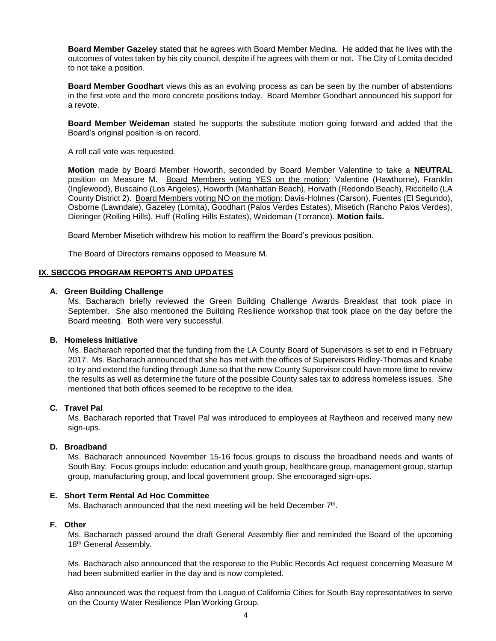**Board Member Gazeley** stated that he agrees with Board Member Medina. He added that he lives with the outcomes of votes taken by his city council, despite if he agrees with them or not. The City of Lomita decided to not take a position.

**Board Member Goodhart** views this as an evolving process as can be seen by the number of abstentions in the first vote and the more concrete positions today. Board Member Goodhart announced his support for a revote.

**Board Member Weideman** stated he supports the substitute motion going forward and added that the Board's original position is on record.

A roll call vote was requested.

**Motion** made by Board Member Howorth, seconded by Board Member Valentine to take a **NEUTRAL** position on Measure M. Board Members voting YES on the motion: Valentine (Hawthorne), Franklin (Inglewood), Buscaino (Los Angeles), Howorth (Manhattan Beach), Horvath (Redondo Beach), Riccitello (LA County District 2). Board Members voting NO on the motion: Davis-Holmes (Carson), Fuentes (El Segundo), Osborne (Lawndale), Gazeley (Lomita), Goodhart (Palos Verdes Estates), Misetich (Rancho Palos Verdes), Dieringer (Rolling Hills), Huff (Rolling Hills Estates), Weideman (Torrance). **Motion fails.** 

Board Member Misetich withdrew his motion to reaffirm the Board's previous position.

The Board of Directors remains opposed to Measure M.

#### **IX. SBCCOG PROGRAM REPORTS AND UPDATES**

#### **A. Green Building Challenge**

Ms. Bacharach briefly reviewed the Green Building Challenge Awards Breakfast that took place in September. She also mentioned the Building Resilience workshop that took place on the day before the Board meeting. Both were very successful.

#### **B. Homeless Initiative**

Ms. Bacharach reported that the funding from the LA County Board of Supervisors is set to end in February 2017. Ms. Bacharach announced that she has met with the offices of Supervisors Ridley-Thomas and Knabe to try and extend the funding through June so that the new County Supervisor could have more time to review the results as well as determine the future of the possible County sales tax to address homeless issues. She mentioned that both offices seemed to be receptive to the idea.

#### **C. Travel Pal**

Ms. Bacharach reported that Travel Pal was introduced to employees at Raytheon and received many new sign-ups.

#### **D. Broadband**

Ms. Bacharach announced November 15-16 focus groups to discuss the broadband needs and wants of South Bay. Focus groups include: education and youth group, healthcare group, management group, startup group, manufacturing group, and local government group. She encouraged sign-ups.

#### **E. Short Term Rental Ad Hoc Committee**

Ms. Bacharach announced that the next meeting will be held December 7<sup>th</sup>.

#### **F. Other**

Ms. Bacharach passed around the draft General Assembly flier and reminded the Board of the upcoming 18<sup>th</sup> General Assembly.

Ms. Bacharach also announced that the response to the Public Records Act request concerning Measure M had been submitted earlier in the day and is now completed.

Also announced was the request from the League of California Cities for South Bay representatives to serve on the County Water Resilience Plan Working Group.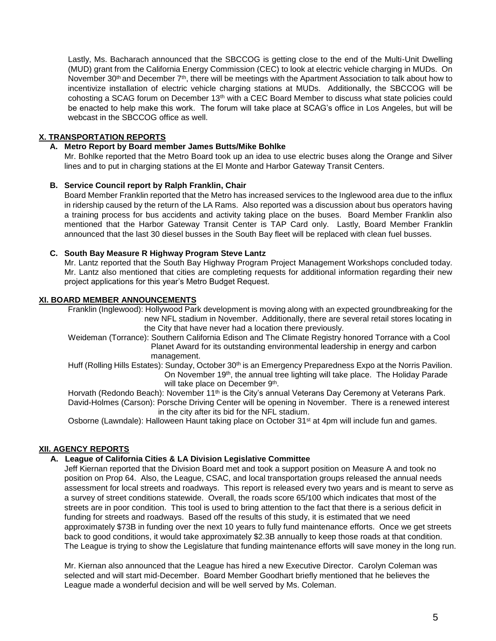Lastly, Ms. Bacharach announced that the SBCCOG is getting close to the end of the Multi-Unit Dwelling (MUD) grant from the California Energy Commission (CEC) to look at electric vehicle charging in MUDs. On November 30<sup>th</sup> and December 7<sup>th</sup>, there will be meetings with the Apartment Association to talk about how to incentivize installation of electric vehicle charging stations at MUDs. Additionally, the SBCCOG will be cohosting a SCAG forum on December 13th with a CEC Board Member to discuss what state policies could be enacted to help make this work. The forum will take place at SCAG's office in Los Angeles, but will be webcast in the SBCCOG office as well.

# **X. TRANSPORTATION REPORTS**

# **A. Metro Report by Board member James Butts/Mike Bohlke**

Mr. Bohlke reported that the Metro Board took up an idea to use electric buses along the Orange and Silver lines and to put in charging stations at the El Monte and Harbor Gateway Transit Centers.

# **B. Service Council report by Ralph Franklin, Chair**

Board Member Franklin reported that the Metro has increased services to the Inglewood area due to the influx in ridership caused by the return of the LA Rams. Also reported was a discussion about bus operators having a training process for bus accidents and activity taking place on the buses. Board Member Franklin also mentioned that the Harbor Gateway Transit Center is TAP Card only. Lastly, Board Member Franklin announced that the last 30 diesel busses in the South Bay fleet will be replaced with clean fuel busses.

# **C. South Bay Measure R Highway Program Steve Lantz**

Mr. Lantz reported that the South Bay Highway Program Project Management Workshops concluded today. Mr. Lantz also mentioned that cities are completing requests for additional information regarding their new project applications for this year's Metro Budget Request.

# **XI. BOARD MEMBER ANNOUNCEMENTS**

Franklin (Inglewood): Hollywood Park development is moving along with an expected groundbreaking for the new NFL stadium in November. Additionally, there are several retail stores locating in the City that have never had a location there previously.

Weideman (Torrance): Southern California Edison and The Climate Registry honored Torrance with a Cool Planet Award for its outstanding environmental leadership in energy and carbon management.

Huff (Rolling Hills Estates): Sunday, October 30<sup>th</sup> is an Emergency Preparedness Expo at the Norris Pavilion. On November 19<sup>th</sup>, the annual tree lighting will take place. The Holiday Parade will take place on December 9<sup>th</sup>.

Horvath (Redondo Beach): November 11<sup>th</sup> is the City's annual Veterans Day Ceremony at Veterans Park. David-Holmes (Carson): Porsche Driving Center will be opening in November. There is a renewed interest in the city after its bid for the NFL stadium.

Osborne (Lawndale): Halloween Haunt taking place on October 31<sup>st</sup> at 4pm will include fun and games.

## **XII. AGENCY REPORTS**

# **A. League of California Cities & LA Division Legislative Committee**

Jeff Kiernan reported that the Division Board met and took a support position on Measure A and took no position on Prop 64. Also, the League, CSAC, and local transportation groups released the annual needs assessment for local streets and roadways. This report is released every two years and is meant to serve as a survey of street conditions statewide. Overall, the roads score 65/100 which indicates that most of the streets are in poor condition. This tool is used to bring attention to the fact that there is a serious deficit in funding for streets and roadways. Based off the results of this study, it is estimated that we need approximately \$73B in funding over the next 10 years to fully fund maintenance efforts. Once we get streets back to good conditions, it would take approximately \$2.3B annually to keep those roads at that condition. The League is trying to show the Legislature that funding maintenance efforts will save money in the long run.

Mr. Kiernan also announced that the League has hired a new Executive Director. Carolyn Coleman was selected and will start mid-December. Board Member Goodhart briefly mentioned that he believes the League made a wonderful decision and will be well served by Ms. Coleman.